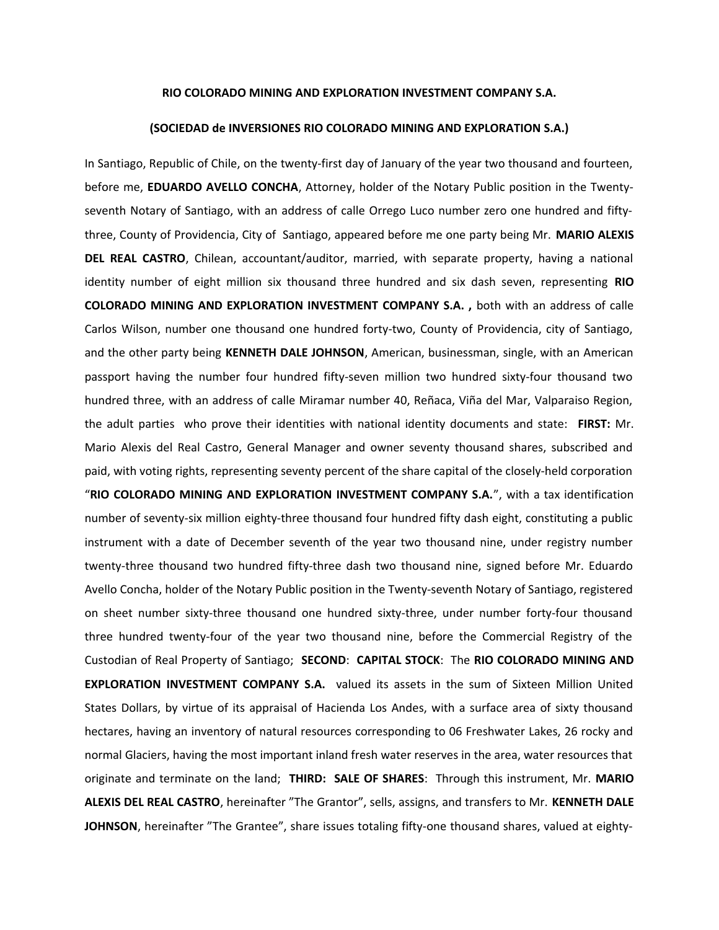## **RIO COLORADO MINING AND EXPLORATION INVESTMENT COMPANY S.A.**

## **(SOCIEDAD de INVERSIONES RIO COLORADO MINING AND EXPLORATION S.A.)**

In Santiago, Republic of Chile, on the twenty-first day of January of the year two thousand and fourteen, before me, **EDUARDO AVELLO CONCHA**, Attorney, holder of the Notary Public position in the Twentyseventh Notary of Santiago, with an address of calle Orrego Luco number zero one hundred and fiftythree, County of Providencia, City of Santiago, appeared before me one party being Mr. **MARIO ALEXIS DEL REAL CASTRO**, Chilean, accountant/auditor, married, with separate property, having a national identity number of eight million six thousand three hundred and six dash seven, representing **RIO COLORADO MINING AND EXPLORATION INVESTMENT COMPANY S.A. ,** both with an address of calle Carlos Wilson, number one thousand one hundred forty-two, County of Providencia, city of Santiago, and the other party being **KENNETH DALE JOHNSON**, American, businessman, single, with an American passport having the number four hundred fifty-seven million two hundred sixty-four thousand two hundred three, with an address of calle Miramar number 40, Reñaca, Viña del Mar, Valparaiso Region, the adult parties who prove their identities with national identity documents and state: **FIRST:** Mr. Mario Alexis del Real Castro, General Manager and owner seventy thousand shares, subscribed and paid, with voting rights, representing seventy percent of the share capital of the closely-held corporation "**RIO COLORADO MINING AND EXPLORATION INVESTMENT COMPANY S.A.**", with a tax identification number of seventy-six million eighty-three thousand four hundred fifty dash eight, constituting a public instrument with a date of December seventh of the year two thousand nine, under registry number twenty-three thousand two hundred fifty-three dash two thousand nine, signed before Mr. Eduardo Avello Concha, holder of the Notary Public position in the Twenty-seventh Notary of Santiago, registered on sheet number sixty-three thousand one hundred sixty-three, under number forty-four thousand three hundred twenty-four of the year two thousand nine, before the Commercial Registry of the Custodian of Real Property of Santiago; **SECOND**: **CAPITAL STOCK**: The **RIO COLORADO MINING AND EXPLORATION INVESTMENT COMPANY S.A.** valued its assets in the sum of Sixteen Million United States Dollars, by virtue of its appraisal of Hacienda Los Andes, with a surface area of sixty thousand hectares, having an inventory of natural resources corresponding to 06 Freshwater Lakes, 26 rocky and normal Glaciers, having the most important inland fresh water reserves in the area, water resources that originate and terminate on the land; **THIRD: SALE OF SHARES**: Through this instrument, Mr. **MARIO ALEXIS DEL REAL CASTRO**, hereinafter "The Grantor", sells, assigns, and transfers to Mr. **KENNETH DALE JOHNSON**, hereinafter "The Grantee", share issues totaling fifty-one thousand shares, valued at eighty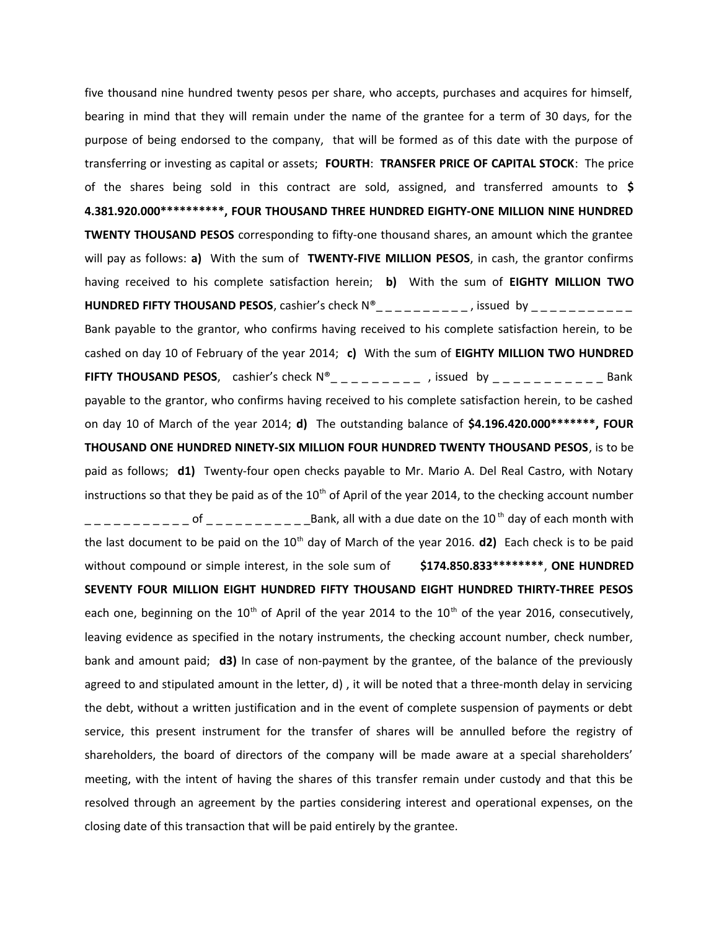five thousand nine hundred twenty pesos per share, who accepts, purchases and acquires for himself, bearing in mind that they will remain under the name of the grantee for a term of 30 days, for the purpose of being endorsed to the company, that will be formed as of this date with the purpose of transferring or investing as capital or assets; **FOURTH**: **TRANSFER PRICE OF CAPITAL STOCK**: The price of the shares being sold in this contract are sold, assigned, and transferred amounts to **\$ 4.381.920.000\*\*\*\*\*\*\*\*\*\*, FOUR THOUSAND THREE HUNDRED EIGHTY-ONE MILLION NINE HUNDRED TWENTY THOUSAND PESOS** corresponding to fifty-one thousand shares, an amount which the grantee will pay as follows: **a)** With the sum of **TWENTY-FIVE MILLION PESOS**, in cash, the grantor confirms having received to his complete satisfaction herein; **b)** With the sum of **EIGHTY MILLION TWO HUNDRED FIFTY THOUSAND PESOS**, cashier's check  $N^{\circ}$  \_ \_ \_ \_ \_ \_ \_ \_ , issued by \_ \_ \_ \_ \_ \_ \_ \_ \_ Bank payable to the grantor, who confirms having received to his complete satisfaction herein, to be cashed on day 10 of February of the year 2014; **c)** With the sum of **EIGHTY MILLION TWO HUNDRED FIFTY THOUSAND PESOS**, cashier's check  $N^{\circ}$  \_ \_ \_ \_ \_ \_ \_ \_ , issued by \_ \_ \_ \_ \_ \_ \_ \_ \_ \_ Bank payable to the grantor, who confirms having received to his complete satisfaction herein, to be cashed on day 10 of March of the year 2014; **d)** The outstanding balance of **\$4.196.420.000\*\*\*\*\*\*\*, FOUR THOUSAND ONE HUNDRED NINETY-SIX MILLION FOUR HUNDRED TWENTY THOUSAND PESOS**, is to be paid as follows; **d1)** Twenty-four open checks payable to Mr. Mario A. Del Real Castro, with Notary instructions so that they be paid as of the  $10<sup>th</sup>$  of April of the year 2014, to the checking account number  $---------$  of  $---------$ Bank, all with a due date on the 10<sup>th</sup> day of each month with the last document to be paid on the 10<sup>th</sup> day of March of the year 2016. **d2**) Each check is to be paid without compound or simple interest, in the sole sum of **\$174.850.833\*\*\*\*\*\*\*\***, **ONE HUNDRED SEVENTY FOUR MILLION EIGHT HUNDRED FIFTY THOUSAND EIGHT HUNDRED THIRTY-THREE PESOS** each one, beginning on the  $10^{th}$  of April of the year 2014 to the  $10^{th}$  of the year 2016, consecutively, leaving evidence as specified in the notary instruments, the checking account number, check number, bank and amount paid; **d3)** In case of non-payment by the grantee, of the balance of the previously agreed to and stipulated amount in the letter, d) , it will be noted that a three-month delay in servicing the debt, without a written justification and in the event of complete suspension of payments or debt service, this present instrument for the transfer of shares will be annulled before the registry of shareholders, the board of directors of the company will be made aware at a special shareholders' meeting, with the intent of having the shares of this transfer remain under custody and that this be resolved through an agreement by the parties considering interest and operational expenses, on the closing date of this transaction that will be paid entirely by the grantee.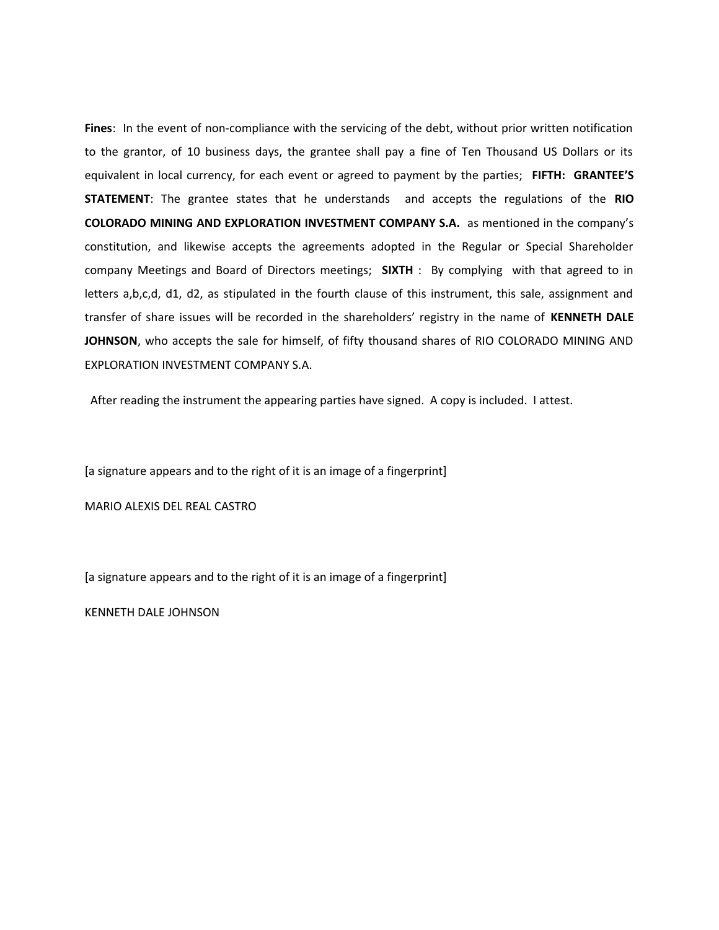**Fines**: In the event of non-compliance with the servicing of the debt, without prior written notification to the grantor, of 10 business days, the grantee shall pay a fine of Ten Thousand US Dollars or its equivalent in local currency, for each event or agreed to payment by the parties; **FIFTH: GRANTEE'S STATEMENT**: The grantee states that he understands and accepts the regulations of the **RIO COLORADO MINING AND EXPLORATION INVESTMENT COMPANY S.A.** as mentioned in the company's constitution, and likewise accepts the agreements adopted in the Regular or Special Shareholder company Meetings and Board of Directors meetings; **SIXTH** : By complying with that agreed to in letters a,b,c,d, d1, d2, as stipulated in the fourth clause of this instrument, this sale, assignment and transfer of share issues will be recorded in the shareholders' registry in the name of **KENNETH DALE JOHNSON**, who accepts the sale for himself, of fifty thousand shares of RIO COLORADO MINING AND EXPLORATION INVESTMENT COMPANY S.A.

After reading the instrument the appearing parties have signed. A copy is included. I attest.

[a signature appears and to the right of it is an image of a fingerprint]

MARIO ALEXIS DEL REAL CASTRO

[a signature appears and to the right of it is an image of a fingerprint]

KENNETH DALE JOHNSON